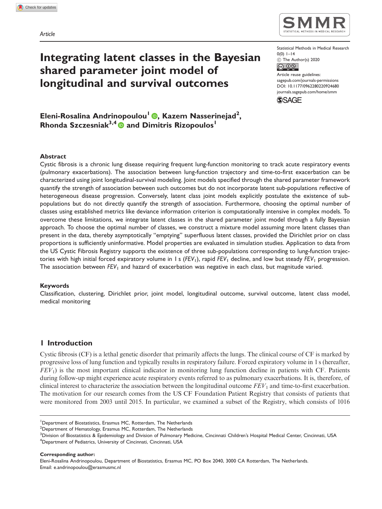

# Integrating latent classes in the Bayesian shared parameter joint model of longitudinal and survival outcomes

Statistical Methods in Medical Research  $0(0)$   $1-14$ (c) The Author(s) 2020 

Article reuse guidelines: [sagepub.com/journals-permissions](http://uk.sagepub.com/en-gb/journals-permissions) [DOI: 10.1177/0962280220924680](http://dx.doi.org/10.1177/0962280220924680) <journals.sagepub.com/home/smm>



Eleni-Rosalina Andrinopoulou<sup>l</sup> (®[,](https://orcid.org/0000-0002-5372-4163) Kazem Nasserinejad<sup>2</sup>, Rhonda Szczesniak<sup>3,4</sup> and Dimitris Rizopoulos<sup>1</sup>

#### Abstract

Cystic fibrosis is a chronic lung disease requiring frequent lung-function monitoring to track acute respiratory events (pulmonary exacerbations). The association between lung-function trajectory and time-to-first exacerbation can be characterized using joint longitudinal-survival modeling. Joint models specified through the shared parameter framework quantify the strength of association between such outcomes but do not incorporate latent sub-populations reflective of heterogeneous disease progression. Conversely, latent class joint models explicitly postulate the existence of subpopulations but do not directly quantify the strength of association. Furthermore, choosing the optimal number of classes using established metrics like deviance information criterion is computationally intensive in complex models. To overcome these limitations, we integrate latent classes in the shared parameter joint model through a fully Bayesian approach. To choose the optimal number of classes, we construct a mixture model assuming more latent classes than present in the data, thereby asymptotically "emptying" superfluous latent classes, provided the Dirichlet prior on class proportions is sufficiently uninformative. Model properties are evaluated in simulation studies. Application to data from the US Cystic Fibrosis Registry supports the existence of three sub-populations corresponding to lung-function trajectories with high initial forced expiratory volume in 1 s ( $FEV<sub>1</sub>$ ), rapid  $FEV<sub>1</sub>$  decline, and low but steady  $FEV<sub>1</sub>$  progression. The association between  $FEV<sub>1</sub>$  and hazard of exacerbation was negative in each class, but magnitude varied.

## Keywords

Classification, clustering, Dirichlet prior, joint model, longitudinal outcome, survival outcome, latent class model, medical monitoring

# 1 Introduction

Cystic fibrosis (CF) is a lethal genetic disorder that primarily affects the lungs. The clinical course of CF is marked by progressive loss of lung function and typically results in respiratory failure. Forced expiratory volume in 1 s (hereafter,  $FEV<sub>1</sub>$ ) is the most important clinical indicator in monitoring lung function decline in patients with CF. Patients during follow-up might experience acute respiratory events referred to as pulmonary exacerbations. It is, therefore, of clinical interest to characterize the association between the longitudinal outcome  $FEV<sub>1</sub>$  and time-to-first exacerbation. The motivation for our research comes from the US CF Foundation Patient Registry that consists of patients that were monitored from 2003 until 2015. In particular, we examined a subset of the Registry, which consists of 1016

Corresponding author:

Eleni-Rosalina Andrinopoulou, Department of Biostatistics, Erasmus MC, PO Box 2040, 3000 CA Rotterdam, The Netherlands. Email: [e.andrinopoulou@erasmusmc.nl](mailto:e.andrinopoulou@erasmusmc.nl)

<sup>&</sup>lt;sup>1</sup>Department of Biostatistics, Erasmus MC, Rotterdam, The Netherlands

<sup>&</sup>lt;sup>2</sup>Department of Hematology, Erasmus MC, Rotterdam, The Netherlands

<sup>&</sup>lt;sup>3</sup>Division of Biostatistics & Epidemiology and Division of Pulmonary Medicine, Cincinnati Children's Hospital Medical Center, Cincinnati, USA

<sup>4</sup> Department of Pediatrics, University of Cincinnati, Cincinnati, USA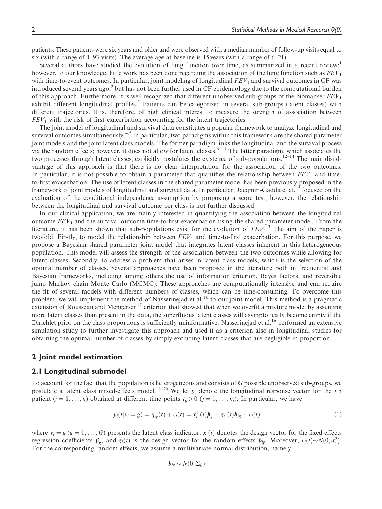patients. These patients were six years and older and were observed with a median number of follow-up visits equal to six (with a range of  $1-93$  visits). The average age at baseline is 15 years (with a range of  $6-21$ ).

Several authors have studied the evolution of lung function over time, as summarized in a recent review;<sup>1</sup> however, to our knowledge, little work has been done regarding the association of the lung function such as  $FEV<sub>1</sub>$ with time-to-event outcomes. In particular, joint modeling of longitudinal  $FEV<sub>1</sub>$  and survival outcomes in CF was introduced several years ago, $<sup>2</sup>$  but has not been further used in CF epidemiology due to the computational burden</sup> of this approach. Furthermore, it is well recognized that different unobserved sub-groups of the biomarker  $FEV<sub>1</sub>$ exhibit different longitudinal profiles.<sup>3</sup> Patients can be categorized in several sub-groups (latent classes) with different trajectories. It is, therefore, of high clinical interest to measure the strength of association between  $FEV<sub>1</sub>$  with the risk of first exacerbation accounting for the latent trajectories.

The joint model of longitudinal and survival data constitutes a popular framework to analyze longitudinal and survival outcomes simultaneously.<sup>4,5</sup> In particular, two paradigms within this framework are the shared parameter joint models and the joint latent class models. The former paradigm links the longitudinal and the survival process via the random effects; however, it does not allow for latent classes.<sup>6–11</sup> The latter paradigm, which associates the two processes through latent classes, explicitly postulates the existence of sub-populations.<sup>12–14</sup> The main disadvantage of this approach is that there is no clear interpretation for the association of the two outcomes. In particular, it is not possible to obtain a parameter that quantifies the relationship between  $FEV<sub>1</sub>$  and timeto-first exacerbation. The use of latent classes in the shared parameter model has been previously proposed in the framework of joint models of longitudinal and survival data. In particular, Jacqmin-Gadda et al.<sup>15</sup> focused on the evaluation of the conditional independence assumption by proposing a score test; however, the relationship between the longitudinal and survival outcome per class is not further discussed.

In our clinical application, we are mainly interested in quantifying the association between the longitudinal outcome  $FEV<sub>1</sub>$  and the survival outcome time-to-first exacerbation using the shared parameter model. From the literature, it has been shown that sub-populations exist for the evolution of  $FEV<sub>1</sub><sup>3</sup>$ . The aim of the paper is twofold. Firstly, to model the relationship between  $FEV<sub>1</sub>$  and time-to-first exacerbation. For this purpose, we propose a Bayesian shared parameter joint model that integrates latent classes inherent in this heterogeneous population. This model will assess the strength of the association between the two outcomes while allowing for latent classes. Secondly, to address a problem that arises in latent class models, which is the selection of the optimal number of classes. Several approaches have been proposed in the literature both in frequentist and Bayesian frameworks, including among others the use of information criterion, Bayes factors, and reversible jump Markov chain Monte Carlo (MCMC). These approaches are computationally intensive and can require the fit of several models with different numbers of classes, which can be time-consuming. To overcome this problem, we will implement the method of Nasserinejad et al.<sup>16</sup> to our joint model. This method is a pragmatic extension of Rousseau and Mengersen<sup>17</sup> criterion that showed that when we overfit a mixture model by assuming more latent classes than present in the data, the superfluous latent classes will asymptotically become empty if the Dirichlet prior on the class proportions is sufficiently uninformative. Nasserinejad et al.<sup>16</sup> performed an extensive simulation study to further investigate this approach and used it as a criterion also in longitudinal studies for obtaining the optimal number of classes by simply excluding latent classes that are negligible in proportion.

# 2 Joint model estimation

## 2.1 Longitudinal submodel

To account for the fact that the population is heterogeneous and consists of G possible unobserved sub-groups, we postulate a latent class mixed-effects model.<sup>18–20</sup> We let  $y_i$  denote the longitudinal response vector for the *i*th patient  $(i = 1, \ldots, n)$  obtained at different time points  $t_{ij} > 0$   $(j = 1, \ldots, n_i)$ . In particular, we have

$$
y_i(t|v_i = g) = \eta_{ig}(t) + \epsilon_i(t) = \mathbf{x}_i^{\top}(t)\boldsymbol{\beta}_g + \mathbf{z}_i^{\top}(t)\boldsymbol{b}_{ig} + \epsilon_i(t)
$$
\n(1)

where  $v_i = g(g = 1, \ldots, G)$  presents the latent class indicator,  $x_i(t)$  denotes the design vector for the fixed effects regression coefficients  $\beta_g$ , and  $z_i(t)$  is the design vector for the random effects  $\mathbf{b}_{ig}$ . Moreover,  $\epsilon_i(t) \sim N(0, \sigma_y^2)$ .<br>For the corresponding random effects we assume a multivariate normal distribution, namely For the corresponding random effects, we assume a multivariate normal distribution, namely

$$
\boldsymbol{b}_{ig} \sim N(0,\Sigma_b)
$$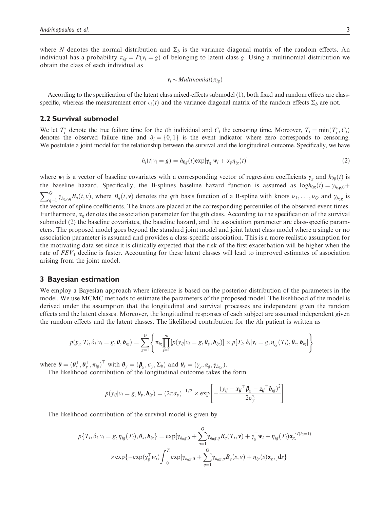where N denotes the normal distribution and  $\Sigma_b$  is the variance diagonal matrix of the random effects. An individual has a probability  $\pi_{ig} = P(v_i = g)$  of belonging to latent class g. Using a multinomial distribution we obtain the class of each individual as

$$
v_i \sim Multinomial(\pi_{ig})
$$

According to the specification of the latent class mixed-effects submodel (1), both fixed and random effects are classspecific, whereas the measurement error  $\epsilon_i(t)$  and the variance diagonal matrix of the random effects  $\Sigma_b$  are not.

## 2.2 Survival submodel

We let  $T_i^*$  denote the true failure time for the *i*th individual and  $C_i$  the censoring time. Moreover,  $T_i = \min(T_i^*, C_i)$  denotes the observed failure time and  $\delta_i = \{0, 1\}$  is the event indicator where zero corresponds denotes the observed failure time and  $\delta_i = \{0, 1\}$  is the event indicator where zero corresponds to censoring. We postulate a joint model for the relationship between the survival and the longitudinal outcome. Specifically, we have

$$
h_i(t|v_i = g) = h_{0g}(t) \exp[\gamma_g^{\top} w_i + \alpha_g \eta_{ig}(t)] \tag{2}
$$

where  $w_i$  is a vector of baseline covariates with a corresponding vector of regression coefficients  $\gamma_g$  and  $h_{0g}(t)$  is the baseline hazard. Specifically, the B-splines baseline hazard function is assumed as  $logh_{0g}(t) = \gamma_{h_0g,0} +$  $\sum_{q=1}^{Q} \gamma_{h_0g,q} B_q(t, v)$ , where  $B_q(t, v)$  denotes the qth basis function of a B-spline with knots  $\nu_1, \ldots, \nu_Q$  and  $\gamma_{h_0g}$  is the vector of spline coefficients. The knots are placed at the corresponding percentiles of the observed event times. Furthermore,  $\alpha_g$  denotes the association parameter for the gth class. According to the specification of the survival submodel (2) the baseline covariates, the baseline hazard, and the association parameter are class-specific parameters. The proposed model goes beyond the standard joint model and joint latent class model where a single or no association parameter is assumed and provides a class-specific association. This is a more realistic assumption for the motivating data set since it is clinically expected that the risk of the first exacerbation will be higher when the rate of  $FEV<sub>1</sub>$  decline is faster. Accounting for these latent classes will lead to improved estimates of association arising from the joint model.

## 3 Bayesian estimation

We employ a Bayesian approach where inference is based on the posterior distribution of the parameters in the model. We use MCMC methods to estimate the parameters of the proposed model. The likelihood of the model is derived under the assumption that the longitudinal and survival processes are independent given the random effects and the latent classes. Moreover, the longitudinal responses of each subject are assumed independent given the random effects and the latent classes. The likelihood contribution for the ith patient is written as

$$
p(\mathbf{y}_i, T_i, \delta_i | v_i = g, \boldsymbol{\theta}, \boldsymbol{b}_{ig}) = \sum_{g=1}^G \left\{ \pi_{ig} \prod_{j=1}^{n_i} [p(y_{ij} | v_i = g, \boldsymbol{\theta}_y, \boldsymbol{b}_{ig})] \times p[T_i, \delta_i | v_i = g, \eta_{ig}(T_i), \boldsymbol{\theta}_s, \boldsymbol{b}_{ig}] \right\}
$$

where  $\theta = (\theta_s^{\top}, \theta_y^{\top}, \pi_{ig})^{\top}$  with  $\theta_y = (\beta_g, \sigma_y, \Sigma_b)$  and  $\theta_s = (\gamma_g, \alpha_g, \gamma_{h_0 g})$ .<br>The likelihood contribution of the longitudinal outcome takes the

The likelihood contribution of the longitudinal outcome takes the form

$$
p(y_{ij}|v_i = g, \boldsymbol{\theta}_y, \boldsymbol{b}_{ig}) = (2\pi\sigma_y)^{-1/2} \times \exp\left[-\frac{(y_{ij} - x_{ij}^\top \boldsymbol{\beta}_g - z_{ij}^\top \boldsymbol{b}_{ig})^2}{2\sigma_y^2}\right]
$$

The likelihood contribution of the survival model is given by

$$
p\{T_i, \delta_i | v_i = g, \eta_{ig}(T_i), \theta_s, \mathbf{b}_{ig}\} = \exp[\gamma_{h_0g,0} + \sum_{q=1}^{Q} \gamma_{h_0g,q} B_q(T_i, \mathbf{v}) + \gamma_g^{\top} \mathbf{w}_i + \eta_{ig}(T_i) \mathbf{x}_g]^{I(\delta_i=1)}
$$

$$
\times \exp\{-\exp(\gamma_g^{\top} \mathbf{w}_i) \int_0^{T_i} \exp[\gamma_{h_0g,0} + \sum_{q=1}^{Q} \gamma_{h_0g,q} B_q(s, \mathbf{v}) + \eta_{ig}(s) \mathbf{x}_g, ]ds\}
$$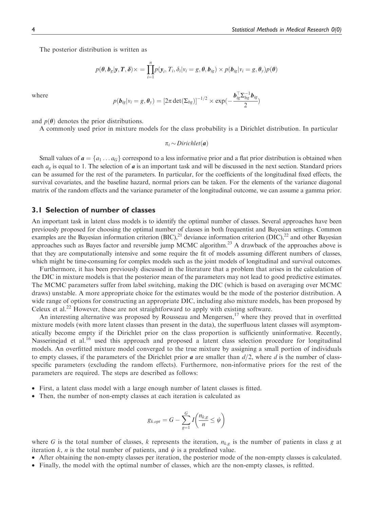The posterior distribution is written as

$$
p(\theta, \mathbf{b}_{g} | \mathbf{y}, \mathbf{T}, \boldsymbol{\delta}) \times = \prod_{i=1}^{n} p(\mathbf{y}_{i}, T_{i}, \delta_{i} | \mathbf{v}_{i} = g, \theta, \mathbf{b}_{ig}) \times p(\mathbf{b}_{ig} | \mathbf{v}_{i} = g, \theta_{y}) p(\theta)
$$

where

$$
p(\boldsymbol{b}_{ig}|\nu_i=g,\boldsymbol{\theta}_y)=[2\pi \det(\boldsymbol{\Sigma}_{bg})]^{-1/2}\times \exp(-\frac{\boldsymbol{b}_{ig}^\top\boldsymbol{\Sigma}_{bg}^{-1}\boldsymbol{b}_{ig}}{2})
$$

and  $p(\theta)$  denotes the prior distributions.

A commonly used prior in mixture models for the class probability is a Dirichlet distribution. In particular

$$
\pi_i \sim Dirichlet(\boldsymbol{a})
$$

Small values of  $a = \{a_1 \ldots a_G\}$  correspond to a less informative prior and a flat prior distribution is obtained when each  $a_g$  is equal to 1. The selection of  $\boldsymbol{a}$  is an important task and will be discussed in the next section. Standard priors can be assumed for the rest of the parameters. In particular, for the coefficients of the longitudinal fixed effects, the survival covariates, and the baseline hazard, normal priors can be taken. For the elements of the variance diagonal matrix of the random effects and the variance parameter of the longitudinal outcome, we can assume a gamma prior.

## 3.1 Selection of number of classes

An important task in latent class models is to identify the optimal number of classes. Several approaches have been previously proposed for choosing the optimal number of classes in both frequentist and Bayesian settings. Common examples are the Bayesian information criterion  $(BIC)^{21}$  deviance information criterion  $(DIC)^{22}$  and other Bayesian approaches such as Bayes factor and reversible jump MCMC algorithm.<sup>23</sup> A drawback of the approaches above is that they are computationally intensive and some require the fit of models assuming different numbers of classes, which might be time-consuming for complex models such as the joint models of longitudinal and survival outcomes.

Furthermore, it has been previously discussed in the literature that a problem that arises in the calculation of the DIC in mixture models is that the posterior mean of the parameters may not lead to good predictive estimates. The MCMC parameters suffer from label switching, making the DIC (which is based on averaging over MCMC draws) unstable. A more appropriate choice for the estimates would be the mode of the posterior distribution. A wide range of options for constructing an appropriate DIC, including also mixture models, has been proposed by Celeux et al.<sup>22</sup> However, these are not straightforward to apply with existing software.

An interesting alternative was proposed by Rousseau and Mengersen,<sup>17</sup> where they proved that in overfitted mixture models (with more latent classes than present in the data), the superfluous latent classes will asymptomatically become empty if the Dirichlet prior on the class proportion is sufficiently uninformative. Recently, Nasserinejad et al.<sup>16</sup> used this approach and proposed a latent class selection procedure for longitudinal models. An overfitted mixture model converged to the true mixture by assigning a small portion of individuals to empty classes, if the parameters of the Dirichlet prior  $\boldsymbol{a}$  are smaller than  $d/2$ , where d is the number of classspecific parameters (excluding the random effects). Furthermore, non-informative priors for the rest of the parameters are required. The steps are described as follows:

- First, a latent class model with a large enough number of latent classes is fitted.
- Then, the number of non-empty classes at each iteration is calculated as

$$
g_{k,opt} = G - \sum_{g=1}^{G} I\left(\frac{n_{k,g}}{n} \le \psi\right)
$$

where G is the total number of classes, k represents the iteration,  $n_{k,g}$  is the number of patients in class g at iteration k, n is the total number of patients, and  $\psi$  is a predefined value.

- After obtaining the non-empty classes per iteration, the posterior mode of the non-empty classes is calculated.
- Finally, the model with the optimal number of classes, which are the non-empty classes, is refitted.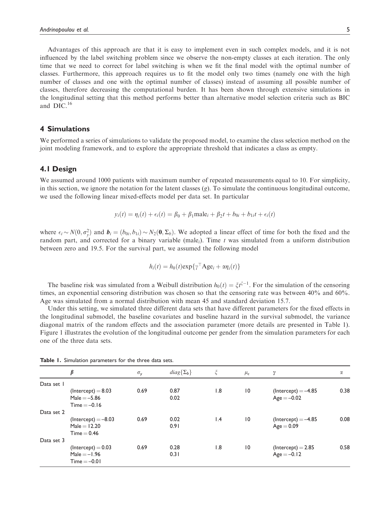Advantages of this approach are that it is easy to implement even in such complex models, and it is not influenced by the label switching problem since we observe the non-empty classes at each iteration. The only time that we need to correct for label switching is when we fit the final model with the optimal number of classes. Furthermore, this approach requires us to fit the model only two times (namely one with the high number of classes and one with the optimal number of classes) instead of assuming all possible number of classes, therefore decreasing the computational burden. It has been shown through extensive simulations in the longitudinal setting that this method performs better than alternative model selection criteria such as BIC and  $DIC<sup>16</sup>$ 

# 4 Simulations

We performed a series of simulations to validate the proposed model, to examine the class selection method on the joint modeling framework, and to explore the appropriate threshold that indicates a class as empty.

# 4.1 Design

We assumed around 1000 patients with maximum number of repeated measurements equal to 10. For simplicity, in this section, we ignore the notation for the latent classes  $(g)$ . To simulate the continuous longitudinal outcome, we used the following linear mixed-effects model per data set. In particular

$$
y_i(t) = \eta_i(t) + \epsilon_i(t) = \beta_0 + \beta_1 \text{male}_i + \beta_2 t + b_{0i} + b_{1i} t + \epsilon_i(t)
$$

where  $\epsilon_i \sim N(0, \sigma_y^2)$  and  $\mathbf{b}_i = (b_{0i}, b_{1i}) \sim N_2(\mathbf{0}, \Sigma_b)$ . We adopted a linear effect of time for both the fixed and the random part, and corrected for a binary variable (male.). Time t was simulated from a uniform random part, and corrected for a binary variable (male<sub>i</sub>). Time t was simulated from a uniform distribution between zero and 19.5. For the survival part, we assumed the following model

$$
h_i(t) = h_0(t) \exp{\{\gamma^\top \mathbf{A} \mathbf{g} \mathbf{e}_i + \alpha \eta_i(t)\}}
$$

The baseline risk was simulated from a Weibull distribution  $h_0(t) = \zeta t^{\zeta-1}$ . For the simulation of the censoring<br>ness an exponential censoring distribution was chosen so that the censoring rate was between 40% and 60% times, an exponential censoring distribution was chosen so that the censoring rate was between 40% and 60%. Age was simulated from a normal distribution with mean 45 and standard deviation 15.7.

Under this setting, we simulated three different data sets that have different parameters for the fixed effects in the longitudinal submodel, the baseline covariates and baseline hazard in the survival submodel, the variance diagonal matrix of the random effects and the association parameter (more details are presented in Table 1). Figure 1 illustrates the evolution of the longitudinal outcome per gender from the simulation parameters for each one of the three data sets.

|            | β                     | $\sigma_{y}$ | $diag{\{\Sigma_b\}}$ | $\tilde{\zeta}$  | $\mu_c$         | $\gamma$              | α    |
|------------|-----------------------|--------------|----------------------|------------------|-----------------|-----------------------|------|
| Data set 1 |                       |              |                      |                  |                 |                       |      |
|            | $(Intercept) = 8.03$  | 0.69         | 0.87                 | $\overline{1.8}$ | $\overline{10}$ | $(Intercept) = -4.85$ | 0.38 |
|            | $Male = -5.86$        |              | 0.02                 |                  |                 | $Age = -0.02$         |      |
|            | $Time = -0.16$        |              |                      |                  |                 |                       |      |
| Data set 2 |                       |              |                      |                  |                 |                       |      |
|            | $(Intercept) = -8.03$ | 0.69         | 0.02                 | $\mathsf{I}$ .4  | $\overline{10}$ | $(Intercept) = -4.85$ | 0.08 |
|            | $Male = 12.20$        |              | 0.91                 |                  |                 | $Age = 0.09$          |      |
|            | $Time = 0.46$         |              |                      |                  |                 |                       |      |
| Data set 3 |                       |              |                      |                  |                 |                       |      |
|            | $(Intercept) = 0.03$  | 0.69         | 0.28                 | $\overline{1.8}$ | $\overline{10}$ | $(Intercept) = 2.85$  | 0.58 |
|            | $Male = -1.96$        |              | 0.31                 |                  |                 | $Age = -0.12$         |      |
|            | $Time = -0.01$        |              |                      |                  |                 |                       |      |

|  |  | Table 1. Simulation parameters for the three data sets. |  |  |  |  |  |
|--|--|---------------------------------------------------------|--|--|--|--|--|
|--|--|---------------------------------------------------------|--|--|--|--|--|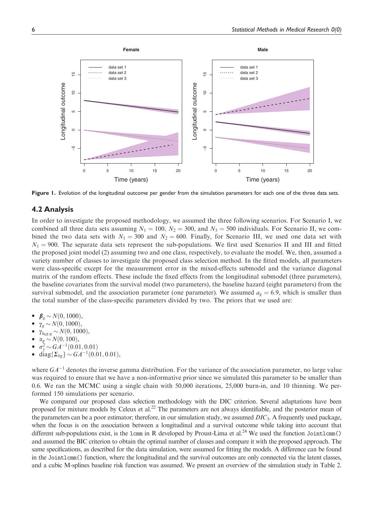

Figure 1. Evolution of the longitudinal outcome per gender from the simulation parameters for each one of the three data sets.

# 4.2 Analysis

In order to investigate the proposed methodology, we assumed the three following scenarios. For Scenario I, we combined all three data sets assuming  $N_1 = 100$ ,  $N_2 = 300$ , and  $N_3 = 500$  individuals. For Scenario II, we combined the two data sets with  $N_1 = 300$  and  $N_2 = 600$ . Finally, for Scenario III, we used one data set with  $N_1 = 900$ . The separate data sets represent the sub-populations. We first used Scenarios II and III and fitted the proposed joint model (2) assuming two and one class, respectively, to evaluate the model. We, then, assumed a variety number of classes to investigate the proposed class selection method. In the fitted models, all parameters were class-specific except for the measurement error in the mixed-effects submodel and the variance diagonal matrix of the random effects. These include the fixed effects from the longitudinal submodel (three parameters), the baseline covariates from the survival model (two parameters), the baseline hazard (eight parameters) from the survival submodel, and the association parameter (one parameter). We assumed  $a<sub>e</sub> = 6.9$ , which is smaller than the total number of the class-specific parameters divided by two. The priors that we used are:

- $\beta_g \sim N(0, 1000),$ <br>•  $\gamma_{g} \sim N(0, 1000)$
- $y_g \sim N(0, 1000),$ <br>•  $y_s \sim N(0, 1000),$
- $\gamma_{h_0g,q} \sim N(0, 1000),$ <br>•  $\alpha \approx N(0, 100)$
- 
- $\alpha_g \sim N(0, 100),$ <br>•  $\sigma_y^2 \sim GA^{-1}(0.01, 0.01)$ <br>• diag(*X*,  $\log G A^{-1}(0.01)$
- diag $\{\mathcal{E}_{bg}\}\sim GA^{-1}(0.01, 0.01),$

where  $GA^{-1}$  denotes the inverse gamma distribution. For the variance of the association parameter, no large value was required to ensure that we have a non-informative prior since we simulated this parameter to be smaller than 0.6. We ran the MCMC using a single chain with 50,000 iterations, 25,000 burn-in, and 10 thinning. We performed 150 simulations per scenario.

We compared our proposed class selection methodology with the DIC criterion. Several adaptations have been proposed for mixture models by Celeux et al.22 The parameters are not always identifiable, and the posterior mean of the parameters can be a poor estimator; therefore, in our simulation study, we assumed  $DIC<sub>3</sub>$ . A frequently used package, when the focus is on the association between a longitudinal and a survival outcome while taking into account that different sub-populations exist, is the  $1cmm$  in R developed by Proust-Lima et al.<sup>24</sup> We used the function Joint $1cmm()$ and assumed the BIC criterion to obtain the optimal number of classes and compare it with the proposed approach. The same specifications, as described for the data simulation, were assumed for fitting the models. A difference can be found in the Jointlcmm() function, where the longitudinal and the survival outcomes are only connected via the latent classes, and a cubic M-splines baseline risk function was assumed. We present an overview of the simulation study in Table 2.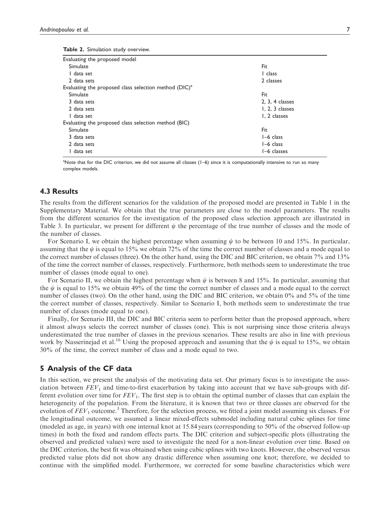|  |  | <b>Table 2.</b> Simulation study overview. |  |  |
|--|--|--------------------------------------------|--|--|
|--|--|--------------------------------------------|--|--|

| Evaluating the proposed model                                     |                 |  |  |
|-------------------------------------------------------------------|-----------------|--|--|
| Simulate                                                          | Fit             |  |  |
| I data set                                                        | 1 class         |  |  |
| 2 data sets                                                       | 2 classes       |  |  |
| Evaluating the proposed class selection method (DIC) <sup>a</sup> |                 |  |  |
| Simulate                                                          | Fit             |  |  |
| 3 data sets                                                       | 2, 3, 4 classes |  |  |
| 2 data sets                                                       | 1, 2, 3 classes |  |  |
| I data set                                                        | 1. 2 classes    |  |  |
| Evaluating the proposed class selection method (BIC)              |                 |  |  |
| Simulate                                                          | Fit             |  |  |
| 3 data sets                                                       | $I-6$ class     |  |  |
| 2 data sets                                                       | $I-6$ class     |  |  |
| I data set                                                        | $I-6$ classes   |  |  |

a Note that for the DIC criterion, we did not assume all classes (1–6) since it is computationally intensive to run so many complex models.

## 4.3 Results

The results from the different scenarios for the validation of the proposed model are presented in Table 1 in the Supplementary Material. We obtain that the true parameters are close to the model parameters. The results from the different scenarios for the investigation of the proposed class selection approach are illustrated in Table 3. In particular, we present for different  $\psi$  the percentage of the true number of classes and the mode of the number of classes.

For Scenario I, we obtain the highest percentage when assuming  $\psi$  to be between 10 and 15%. In particular, assuming that the  $\psi$  is equal to 15% we obtain 72% of the time the correct number of classes and a mode equal to the correct number of classes (three). On the other hand, using the DIC and BIC criterion, we obtain 7% and 13% of the time the correct number of classes, respectively. Furthermore, both methods seem to underestimate the true number of classes (mode equal to one).

For Scenario II, we obtain the highest percentage when  $\psi$  is between 8 and 15%. In particular, assuming that the  $\psi$  is equal to 15% we obtain 49% of the time the correct number of classes and a mode equal to the correct number of classes (two). On the other hand, using the DIC and BIC criterion, we obtain 0% and 5% of the time the correct number of classes, respectively. Similar to Scenario I, both methods seem to underestimate the true number of classes (mode equal to one).

Finally, for Scenario III, the DIC and BIC criteria seem to perform better than the proposed approach, where it almost always selects the correct number of classes (one). This is not surprising since those criteria always underestimated the true number of classes in the previous scenarios. These results are also in line with previous work by Nasserinejad et al.<sup>16</sup> Using the proposed approach and assuming that the  $\psi$  is equal to 15%, we obtain 30% of the time, the correct number of class and a mode equal to two.

# 5 Analysis of the CF data

In this section, we present the analysis of the motivating data set. Our primary focus is to investigate the association between  $FEV_1$  and time-to-first exacerbation by taking into account that we have sub-groups with different evolution over time for  $FEV_1$ . The first step is to obtain the optimal number of classes that can explain the heterogeneity of the population. From the literature, it is known that two or three classes are observed for the evolution of  $FEV_1$  outcome.<sup>3</sup> Therefore, for the selection process, we fitted a joint model assuming six classes. For the longitudinal outcome, we assumed a linear mixed-effects submodel including natural cubic splines for time (modeled as age, in years) with one internal knot at 15.84 years (corresponding to 50% of the observed follow-up times) in both the fixed and random effects parts. The DIC criterion and subject-specific plots (illustrating the observed and predicted values) were used to investigate the need for a non-linear evolution over time. Based on the DIC criterion, the best fit was obtained when using cubic splines with two knots. However, the observed versus predicted value plots did not show any drastic difference when assuming one knot; therefore, we decided to continue with the simplified model. Furthermore, we corrected for some baseline characteristics which were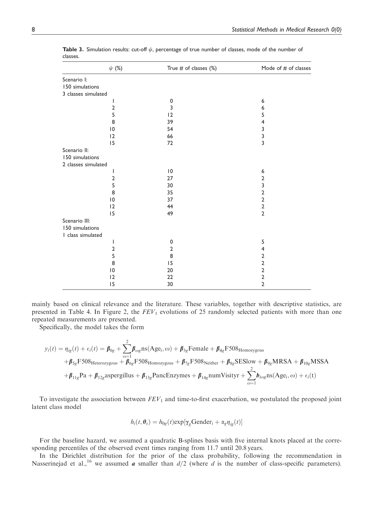| $\psi$ (%)              | True $#$ of classes $(% )$ | Mode of # of classes    |
|-------------------------|----------------------------|-------------------------|
| Scenario I:             |                            |                         |
| 150 simulations         |                            |                         |
| 3 classes simulated     |                            |                         |
|                         | 0                          | 6                       |
| $\overline{2}$          | 3                          | 6                       |
| 5                       | 12                         | 5                       |
| 8                       | 39                         | $\overline{\mathbf{4}}$ |
| 0                       | 54                         | 3                       |
| 12                      | 66                         | 3                       |
| 15                      | 72                         | 3                       |
| Scenario II:            |                            |                         |
| 150 simulations         |                            |                         |
| 2 classes simulated     |                            |                         |
| L                       | $\overline{10}$            | 6                       |
| $\overline{2}$          | 27                         | $\overline{2}$          |
| 5                       | 30                         | 3                       |
| 8                       | 35                         | $\mathbf 2$             |
| 0                       | 37                         | $\overline{2}$          |
| 12                      | 44                         | $\overline{2}$          |
| 15                      | 49                         | $\overline{2}$          |
| Scenario III:           |                            |                         |
| 150 simulations         |                            |                         |
| I class simulated       |                            |                         |
| L                       | 0                          | 5                       |
| $\overline{\mathbf{c}}$ | $\overline{2}$             | $\overline{\mathbf{4}}$ |
| 5                       | 8                          | $\overline{2}$          |
| 8                       | 15                         | $\overline{2}$          |
| $\overline{10}$         | 20                         | $\overline{2}$          |
| 12                      | 22                         | $\overline{2}$          |
| 15                      | 30                         | $\overline{2}$          |
|                         |                            |                         |

Table 3. Simulation results: cut-off  $\psi$ , percentage of true number of classes, mode of the number of classes.

mainly based on clinical relevance and the literature. These variables, together with descriptive statistics, are presented in Table 4. In Figure 2, the  $FEV_1$  evolutions of 25 randomly selected patients with more than one repeated measurements are presented.

Specifically, the model takes the form

$$
y_i(t) = \eta_{ig}(t) + \epsilon_i(t) = \beta_{0g} + \sum_{\omega=1}^{2} \beta_{\omega g} \text{ns}(Age_i, \omega) + \beta_{3g} \text{Female} + \beta_{4g} \text{F}508_{\text{Homozygous}} + \beta_{5g} \text{F}508_{\text{Heterozygous}} + \beta_{6g} \text{F}508_{\text{Homozygous}} + \beta_{7g} \text{F}508_{\text{Neither}} + \beta_{8g} \text{SESlow} + \beta_{9g} \text{MRSA} + \beta_{10g} \text{MSSA} + \beta_{11g} \text{Pa} + \beta_{12g} \text{aspergillus} + \beta_{13g} \text{PancEnzymes} + \beta_{14g} \text{numVisityr} + \sum_{\omega=1}^{2} b_{i\omega g} \text{ns}(Age_i, \omega) + \epsilon_i(t)
$$

To investigate the association between  $FEV<sub>1</sub>$  and time-to-first exacerbation, we postulated the proposed joint latent class model

$$
h_i(t, \theta_s) = h_{0g}(t) \exp[\gamma_g \text{Gender}_i + \alpha_g \eta_{ig}(t)]
$$

For the baseline hazard, we assumed a quadratic B-splines basis with five internal knots placed at the corresponding percentiles of the observed event times ranging from 11.7 until 20.8 years.

In the Dirichlet distribution for the prior of the class probability, following the recommendation in Nasserinejad et al.,<sup>16</sup> we assumed **a** smaller than  $d/2$  (where d is the number of class-specific parameters).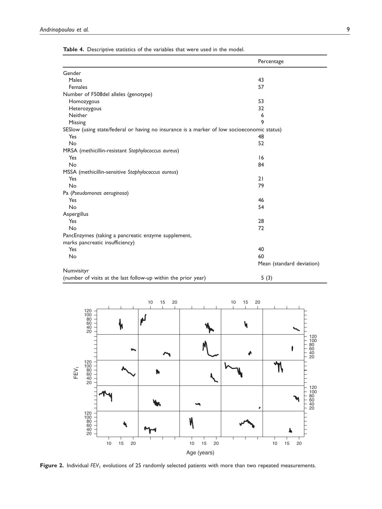|                                                                                             | Percentage                |
|---------------------------------------------------------------------------------------------|---------------------------|
| Gender                                                                                      |                           |
| Males                                                                                       | 43                        |
| Females                                                                                     | 57                        |
| Number of F508del alleles (genotype)                                                        |                           |
| Homozygous                                                                                  | 53                        |
| Heterozygous                                                                                | 32                        |
| Neither                                                                                     | 6                         |
| Missing                                                                                     | 9                         |
| SESlow (using state/federal or having no insurance is a marker of low socioeconomic status) |                           |
| Yes                                                                                         | 48                        |
| <b>No</b>                                                                                   | 52                        |
| MRSA (methicillin-resistant Staphylococcus aureus)                                          |                           |
| Yes                                                                                         | 16                        |
| <b>No</b>                                                                                   | 84                        |
| MSSA (methicillin-sensitive Staphylococcus aureus)                                          |                           |
| Yes                                                                                         | 21                        |
| <b>No</b>                                                                                   | 79                        |
| Pa (Pseudomonas aeruginosa)                                                                 |                           |
| Yes                                                                                         | 46                        |
| <b>No</b>                                                                                   | 54                        |
| Aspergillus                                                                                 |                           |
| Yes                                                                                         | 28                        |
| <b>No</b>                                                                                   | 72                        |
| PancEnzymes (taking a pancreatic enzyme supplement,                                         |                           |
| marks pancreatic insufficiency)                                                             |                           |
| Yes                                                                                         | 40                        |
| No                                                                                          | 60                        |
|                                                                                             | Mean (standard deviation) |
| Numvisityr                                                                                  |                           |
| (number of visits at the last follow-up within the prior year)                              | 5(3)                      |

Table 4. Descriptive statistics of the variables that were used in the model.



Figure 2. Individual  $FEV_1$  evolutions of 25 randomly selected patients with more than two repeated measurements.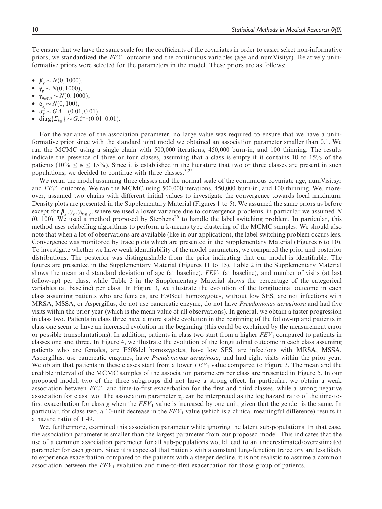To ensure that we have the same scale for the coefficients of the covariates in order to easier select non-informative priors, we standardized the  $FEV_1$  outcome and the continuous variables (age and numVisityr). Relatively uninformative priors were selected for the parameters in the model. These priors are as follows:

- $\beta_g \sim N(0, 1000),$ <br>•  $\gamma \sim N(0, 1000)$
- $y_g \sim N(0, 1000),$ <br>•  $y_i \sim N(0, 1000)$
- $\gamma_{h_0g,q} \sim N(0, 1000),$ <br>•  $\alpha \approx N(0, 100)$
- 
- $\alpha_g \sim N(0, 100),$ <br>•  $\sigma_y^2 \sim GA^{-1}(0.01, 0.01)$ <br>• diag( $\Sigma_{t}$ ,  $\lambda \sim GA^{-1}(0.01)$
- diag $\{\Sigma_{bg}\}\sim GA^{-1}(0.01, 0.01).$

For the variance of the association parameter, no large value was required to ensure that we have a uninformative prior since with the standard joint model we obtained an association parameter smaller than 0.1. We ran the MCMC using a single chain with 500,000 iterations, 450,000 burn-in, and 100 thinning. The results indicate the presence of three or four classes, assuming that a class is empty if it contains 10 to 15% of the patients (10%  $\leq \psi \leq 15$ %). Since it is established in the literature that two or three classes are present in such populations, we decided to continue with three classes.<sup>3,25</sup>

We reran the model assuming three classes and the normal scale of the continuous covariate age, numVisitsyr and  $FEV_1$  outcome. We ran the MCMC using 500,000 iterations, 450,000 burn-in, and 100 thinning. We, moreover, assumed two chains with different initial values to investigate the convergence towards local maximum. Density plots are presented in the Supplementary Material (Figures 1 to 5). We assumed the same priors as before except for  $\beta_g$ ,  $\gamma_g$ ,  $\gamma_{h_0g,q}$ , where we used a lower variance due to convergence problems, in particular we assumed N  $(0, 100)$ . We used a method proposed by Stephens<sup>26</sup> to handle the label switching problem. In particular, this method uses relabelling algorithms to perform a k-means type clustering of the MCMC samples. We should also note that when a lot of observations are available (like in our application), the label switching problem occurs less. Convergence was monitored by trace plots which are presented in the Supplementary Material (Figures 6 to 10). To investigate whether we have weak identifiability of the model parameters, we compared the prior and posterior distributions. The posterior was distinguishable from the prior indicating that our model is identifiable. The figures are presented in the Supplementary Material (Figures 11 to 15). Table 2 in the Supplementary Material shows the mean and standard deviation of age (at baseline),  $FEV<sub>1</sub>$  (at baseline), and number of visits (at last follow-up) per class, while Table 3 in the Supplementary Material shows the percentage of the categorical variables (at baseline) per class. In Figure 3, we illustrate the evolution of the longitudinal outcome in each class assuming patients who are females, are F508del homozygotes, without low SES, are not infections with MRSA, MSSA, or Aspergillus, do not use pancreatic enzyme, do not have *Pseudomonas aeruginosa* and had five visits within the prior year (which is the mean value of all observations). In general, we obtain a faster progression in class two. Patients in class three have a more stable evolution in the beginning of the follow-up and patients in class one seem to have an increased evolution in the beginning (this could be explained by the measurement error or possible transplantations). In addition, patients in class two start from a higher  $FEV_1$  compared to patients in classes one and three. In Figure 4, we illustrate the evolution of the longitudinal outcome in each class assuming patients who are females, are F508del homozygotes, have low SES, are infections with MRSA, MSSA, Aspergillus, use pancreatic enzymes, have Pseudomonas aeruginosa, and had eight visits within the prior year. We obtain that patients in these classes start from a lower  $FEV<sub>1</sub>$  value compared to Figure 3. The mean and the credible interval of the MCMC samples of the association parameters per class are presented in Figure 5. In our proposed model, two of the three subgroups did not have a strong effect. In particular, we obtain a weak association between  $FEV<sub>1</sub>$  and time-to-first exacerbation for the first and third classes, while a strong negative association for class two. The association parameter  $\alpha_g$  can be interpreted as the log hazard ratio of the time-tofirst exacerbation for class g when the  $FEV<sub>1</sub>$  value is increased by one unit, given that the gender is the same. In particular, for class two, a 10-unit decrease in the  $FEV<sub>1</sub>$  value (which is a clinical meaningful difference) results in a hazard ratio of 1.49.

We, furthermore, examined this association parameter while ignoring the latent sub-populations. In that case, the association parameter is smaller than the largest parameter from our proposed model. This indicates that the use of a common association parameter for all sub-populations would lead to an underestimated/overestimated parameter for each group. Since it is expected that patients with a constant lung-function trajectory are less likely to experience exacerbation compared to the patients with a steeper decline, it is not realistic to assume a common association between the  $FEV<sub>1</sub>$  evolution and time-to-first exacerbation for those group of patients.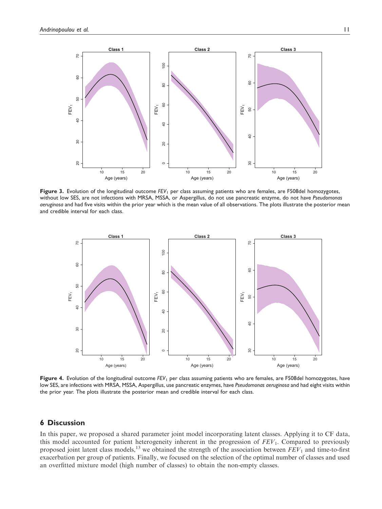

Figure 3. Evolution of the longitudinal outcome  $FEV_1$  per class assuming patients who are females, are F508del homozygotes, without low SES, are not infections with MRSA, MSSA, or Aspergillus, do not use pancreatic enzyme, do not have Pseudomonas aeruginosa and had five visits within the prior year which is the mean value of all observations. The plots illustrate the posterior mean and credible interval for each class.



Figure 4. Evolution of the longitudinal outcome  $FEV_1$  per class assuming patients who are females, are F508del homozygotes, have low SES, are infections with MRSA, MSSA, Aspergillus, use pancreatic enzymes, have Pseudomonas aeruginosa and had eight visits within the prior year. The plots illustrate the posterior mean and credible interval for each class.

# 6 Discussion

In this paper, we proposed a shared parameter joint model incorporating latent classes. Applying it to CF data, this model accounted for patient heterogeneity inherent in the progression of  $FEV<sub>1</sub>$ . Compared to previously proposed joint latent class models,<sup>13</sup> we obtained the strength of the association between  $FEV<sub>1</sub>$  and time-to-first exacerbation per group of patients. Finally, we focused on the selection of the optimal number of classes and used an overfitted mixture model (high number of classes) to obtain the non-empty classes.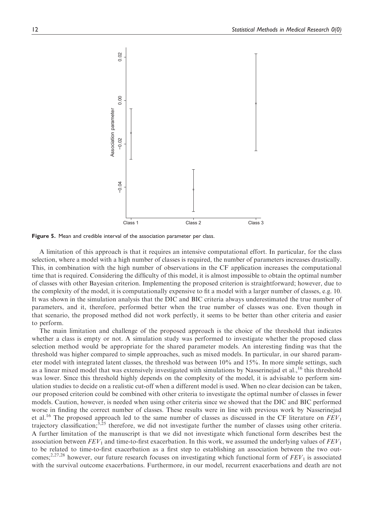

Figure 5. Mean and credible interval of the association parameter per class.

A limitation of this approach is that it requires an intensive computational effort. In particular, for the class selection, where a model with a high number of classes is required, the number of parameters increases drastically. This, in combination with the high number of observations in the CF application increases the computational time that is required. Considering the difficulty of this model, it is almost impossible to obtain the optimal number of classes with other Bayesian criterion. Implementing the proposed criterion is straightforward; however, due to the complexity of the model, it is computationally expensive to fit a model with a larger number of classes, e.g. 10. It was shown in the simulation analysis that the DIC and BIC criteria always underestimated the true number of parameters, and it, therefore, performed better when the true number of classes was one. Even though in that scenario, the proposed method did not work perfectly, it seems to be better than other criteria and easier to perform.

The main limitation and challenge of the proposed approach is the choice of the threshold that indicates whether a class is empty or not. A simulation study was performed to investigate whether the proposed class selection method would be appropriate for the shared parameter models. An interesting finding was that the threshold was higher compared to simple approaches, such as mixed models. In particular, in our shared parameter model with integrated latent classes, the threshold was between 10% and 15%. In more simple settings, such as a linear mixed model that was extensively investigated with simulations by Nasserinejad et al.,<sup>16</sup> this threshold was lower. Since this threshold highly depends on the complexity of the model, it is advisable to perform simulation studies to decide on a realistic cut-off when a different model is used. When no clear decision can be taken, our proposed criterion could be combined with other criteria to investigate the optimal number of classes in fewer models. Caution, however, is needed when using other criteria since we showed that the DIC and BIC performed worse in finding the correct number of classes. These results were in line with previous work by Nasserinejad et al.<sup>16</sup> The proposed approach led to the same number of classes as discussed in the CF literature on  $FEV_1$ trajectory classification;<sup>3,25</sup> therefore, we did not investigate further the number of classes using other criteria. A further limitation of the manuscript is that we did not investigate which functional form describes best the association between  $FEV_1$  and time-to-first exacerbation. In this work, we assumed the underlying values of  $FEV_1$ to be related to time-to-first exacerbation as a first step to establishing an association between the two outcomes;<sup>2,27,28</sup> however, our future research focuses on investigating which functional form of  $FEV<sub>1</sub>$  is associated  $\frac{3}{4}$ <br> **Example 6.** Now and exactly also the survival of the survival outcome exacerbations. Furthermore, in our model, the survival outcome exacerbation of the survival of the survival of the survival outcome exace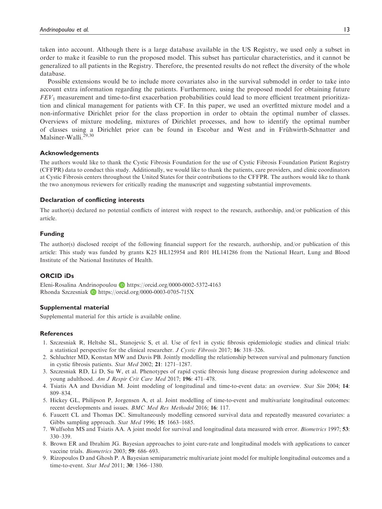taken into account. Although there is a large database available in the US Registry, we used only a subset in order to make it feasible to run the proposed model. This subset has particular characteristics, and it cannot be generalized to all patients in the Registry. Therefore, the presented results do not reflect the diversity of the whole database.

Possible extensions would be to include more covariates also in the survival submodel in order to take into account extra information regarding the patients. Furthermore, using the proposed model for obtaining future  $FEV<sub>1</sub>$  measurement and time-to-first exacerbation probabilities could lead to more efficient treatment prioritization and clinical management for patients with CF. In this paper, we used an overfitted mixture model and a non-informative Dirichlet prior for the class proportion in order to obtain the optimal number of classes. Overviews of mixture modeling, mixtures of Dirichlet processes, and how to identify the optimal number of classes using a Dirichlet prior can be found in Escobar and West and in Frühwirth-Schnatter and Malsiner-Walli.<sup>29,30</sup>

#### Acknowledgements

The authors would like to thank the Cystic Fibrosis Foundation for the use of Cystic Fibrosis Foundation Patient Registry (CFFPR) data to conduct this study. Additionally, we would like to thank the patients, care providers, and clinic coordinators at Cystic Fibrosis centers throughout the United States for their contributions to the CFFPR. The authors would like to thank the two anonymous reviewers for critically reading the manuscript and suggesting substantial improvements.

#### Declaration of conflicting interests

The author(s) declared no potential conflicts of interest with respect to the research, authorship, and/or publication of this article.

#### Funding

The author(s) disclosed receipt of the following financial support for the research, authorship, and/or publication of this article: This study was funded by grants K25 HL125954 and R01 HL141286 from the National Heart, Lung and Blood Institute of the National Institutes of Health.

#### ORCID iDs

Eleni-Rosalina Andrinopoulou <https://orcid.org/0000-0002-5372-4163> Rhonda Szczesniak D <https://orcid.org/0000-0003-0705-715X>

#### Supplemental material

Supplemental material for this article is available online.

#### References

- 1. Szczesniak R, Heltshe SL, Stanojevic S, et al. Use of fev1 in cystic fibrosis epidemiologic studies and clinical trials: a statistical perspective for the clinical researcher. J Cystic Fibrosis 2017; 16: 318–326.
- 2. Schluchter MD, Konstan MW and Davis PB. Jointly modelling the relationship between survival and pulmonary function in cystic fibrosis patients. Stat Med 2002; 21: 1271–1287.
- 3. Szczesniak RD, Li D, Su W, et al. Phenotypes of rapid cystic fibrosis lung disease progression during adolescence and young adulthood. Am J Respir Crit Care Med 2017; 196: 471-478.
- 4. Tsiatis AA and Davidian M. Joint modeling of longitudinal and time-to-event data: an overview. Stat Sin 2004; 14: 809–834.
- 5. Hickey GL, Philipson P, Jorgensen A, et al. Joint modelling of time-to-event and multivariate longitudinal outcomes: recent developments and issues. BMC Med Res Methodol 2016; 16: 117.
- 6. Faucett CL and Thomas DC. Simultaneously modelling censored survival data and repeatedly measured covariates: a Gibbs sampling approach. Stat Med 1996; 15: 1663–1685.
- 7. Wulfsohn MS and Tsiatis AA. A joint model for survival and longitudinal data measured with error. Biometrics 1997; 53: 330–339.
- 8. Brown ER and Ibrahim JG. Bayesian approaches to joint cure-rate and longitudinal models with applications to cancer vaccine trials. Biometrics 2003; 59: 686–693.
- 9. Rizopoulos D and Ghosh P. A Bayesian semiparametric multivariate joint model for multiple longitudinal outcomes and a time-to-event. Stat Med 2011; 30: 1366-1380.